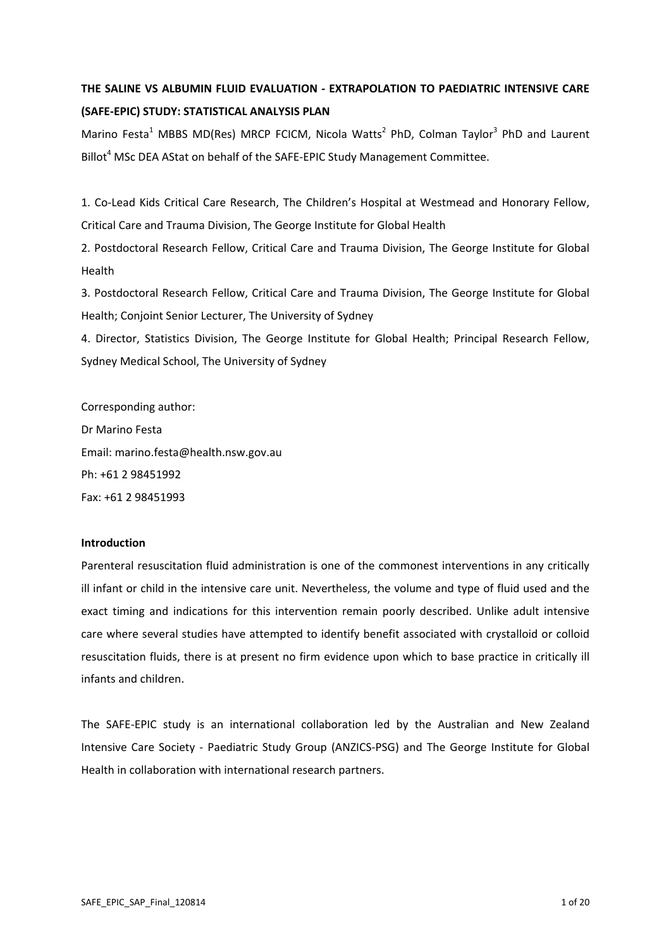# **THE SALINE VS ALBUMIN FLUID EVALUATION - EXTRAPOLATION TO PAEDIATRIC INTENSIVE CARE (SAFE-EPIC) STUDY: STATISTICAL ANALYSIS PLAN**

Marino Festa<sup>1</sup> MBBS MD(Res) MRCP FCICM, Nicola Watts<sup>2</sup> PhD, Colman Taylor<sup>3</sup> PhD and Laurent Billot<sup>4</sup> MSc DEA AStat on behalf of the SAFE-EPIC Study Management Committee.

1. Co-Lead Kids Critical Care Research, The Children's Hospital at Westmead and Honorary Fellow, Critical Care and Trauma Division, The George Institute for Global Health

2. Postdoctoral Research Fellow, Critical Care and Trauma Division, The George Institute for Global Health

3. Postdoctoral Research Fellow, Critical Care and Trauma Division, The George Institute for Global Health; Conjoint Senior Lecturer, The University of Sydney

4. Director, Statistics Division, The George Institute for Global Health; Principal Research Fellow, Sydney Medical School, The University of Sydney

Corresponding author: Dr Marino Festa Email: marino.festa@health.nsw.gov.au Ph: +61 2 98451992 Fax: +61 2 98451993

#### **Introduction**

Parenteral resuscitation fluid administration is one of the commonest interventions in any critically ill infant or child in the intensive care unit. Nevertheless, the volume and type of fluid used and the exact timing and indications for this intervention remain poorly described. Unlike adult intensive care where several studies have attempted to identify benefit associated with crystalloid or colloid resuscitation fluids, there is at present no firm evidence upon which to base practice in critically ill infants and children.

The SAFE-EPIC study is an international collaboration led by the Australian and New Zealand Intensive Care Society - Paediatric Study Group (ANZICS-PSG) and The George Institute for Global Health in collaboration with international research partners.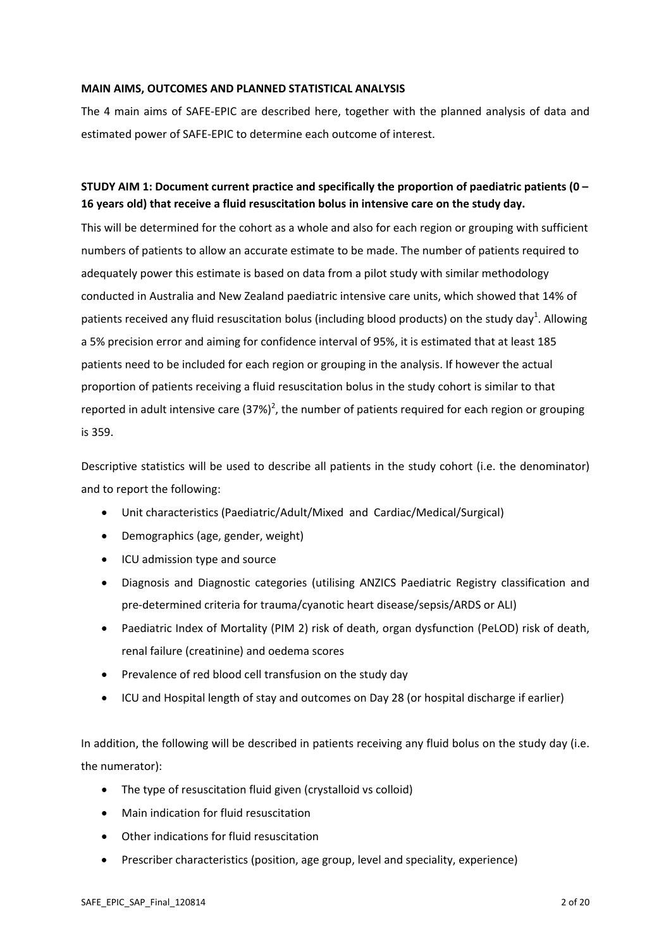#### **MAIN AIMS, OUTCOMES AND PLANNED STATISTICAL ANALYSIS**

The 4 main aims of SAFE-EPIC are described here, together with the planned analysis of data and estimated power of SAFE-EPIC to determine each outcome of interest.

### **STUDY AIM 1: Document current practice and specifically the proportion of paediatric patients (0 – 16 years old) that receive a fluid resuscitation bolus in intensive care on the study day.**

This will be determined for the cohort as a whole and also for each region or grouping with sufficient numbers of patients to allow an accurate estimate to be made. The number of patients required to adequately power this estimate is based on data from a pilot study with similar methodology conducted in Australia and New Zealand paediatric intensive care units, which showed that 14% of patients received any fluid resuscitation bolus (including blood products) on the study day<sup>1</sup>. Allowing a 5% precision error and aiming for confidence interval of 95%, it is estimated that at least 185 patients need to be included for each region or grouping in the analysis. If however the actual proportion of patients receiving a fluid resuscitation bolus in the study cohort is similar to that reported in adult intensive care  $(37\%)^2$ , the number of patients required for each region or grouping is 359.

Descriptive statistics will be used to describe all patients in the study cohort (i.e. the denominator) and to report the following:

- Unit characteristics (Paediatric/Adult/Mixed and Cardiac/Medical/Surgical)
- Demographics (age, gender, weight)
- ICU admission type and source
- Diagnosis and Diagnostic categories (utilising ANZICS Paediatric Registry classification and pre-determined criteria for trauma/cyanotic heart disease/sepsis/ARDS or ALI)
- Paediatric Index of Mortality (PIM 2) risk of death, organ dysfunction (PeLOD) risk of death, renal failure (creatinine) and oedema scores
- Prevalence of red blood cell transfusion on the study day
- ICU and Hospital length of stay and outcomes on Day 28 (or hospital discharge if earlier)

In addition, the following will be described in patients receiving any fluid bolus on the study day (i.e. the numerator):

- The type of resuscitation fluid given (crystalloid vs colloid)
- Main indication for fluid resuscitation
- Other indications for fluid resuscitation
- Prescriber characteristics (position, age group, level and speciality, experience)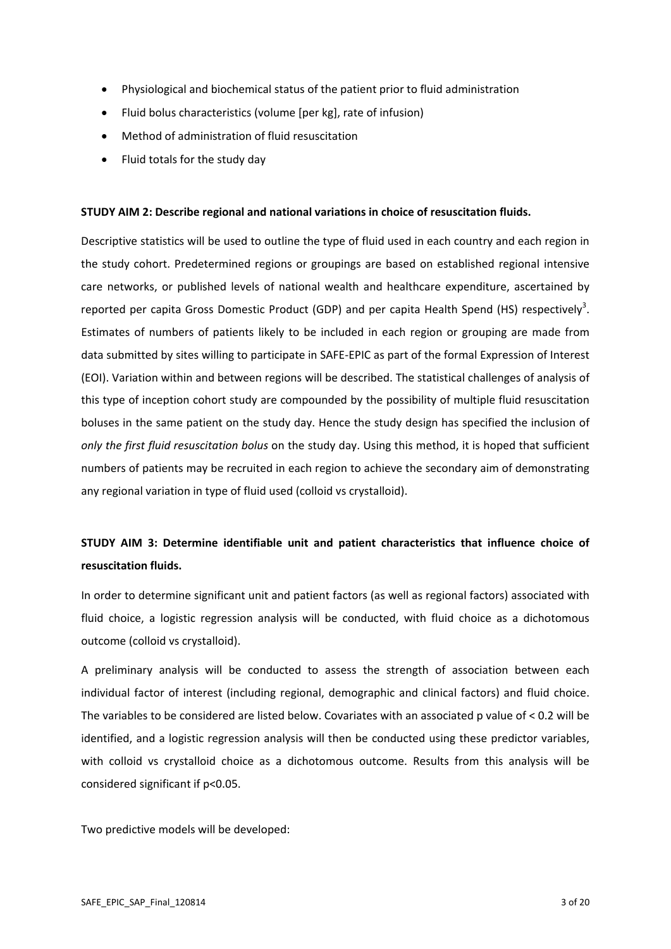- Physiological and biochemical status of the patient prior to fluid administration
- Fluid bolus characteristics (volume [per kg], rate of infusion)
- Method of administration of fluid resuscitation
- Fluid totals for the study day

#### **STUDY AIM 2: Describe regional and national variations in choice of resuscitation fluids.**

Descriptive statistics will be used to outline the type of fluid used in each country and each region in the study cohort. Predetermined regions or groupings are based on established regional intensive care networks, or published levels of national wealth and healthcare expenditure, ascertained by reported per capita Gross Domestic Product (GDP) and per capita Health Spend (HS) respectively<sup>3</sup>. Estimates of numbers of patients likely to be included in each region or grouping are made from data submitted by sites willing to participate in SAFE-EPIC as part of the formal Expression of Interest (EOI). Variation within and between regions will be described. The statistical challenges of analysis of this type of inception cohort study are compounded by the possibility of multiple fluid resuscitation boluses in the same patient on the study day. Hence the study design has specified the inclusion of *only the first fluid resuscitation bolus* on the study day. Using this method, it is hoped that sufficient numbers of patients may be recruited in each region to achieve the secondary aim of demonstrating any regional variation in type of fluid used (colloid vs crystalloid).

# **STUDY AIM 3: Determine identifiable unit and patient characteristics that influence choice of resuscitation fluids.**

In order to determine significant unit and patient factors (as well as regional factors) associated with fluid choice, a logistic regression analysis will be conducted, with fluid choice as a dichotomous outcome (colloid vs crystalloid).

A preliminary analysis will be conducted to assess the strength of association between each individual factor of interest (including regional, demographic and clinical factors) and fluid choice. The variables to be considered are listed below. Covariates with an associated p value of < 0.2 will be identified, and a logistic regression analysis will then be conducted using these predictor variables, with colloid vs crystalloid choice as a dichotomous outcome. Results from this analysis will be considered significant if p<0.05.

Two predictive models will be developed: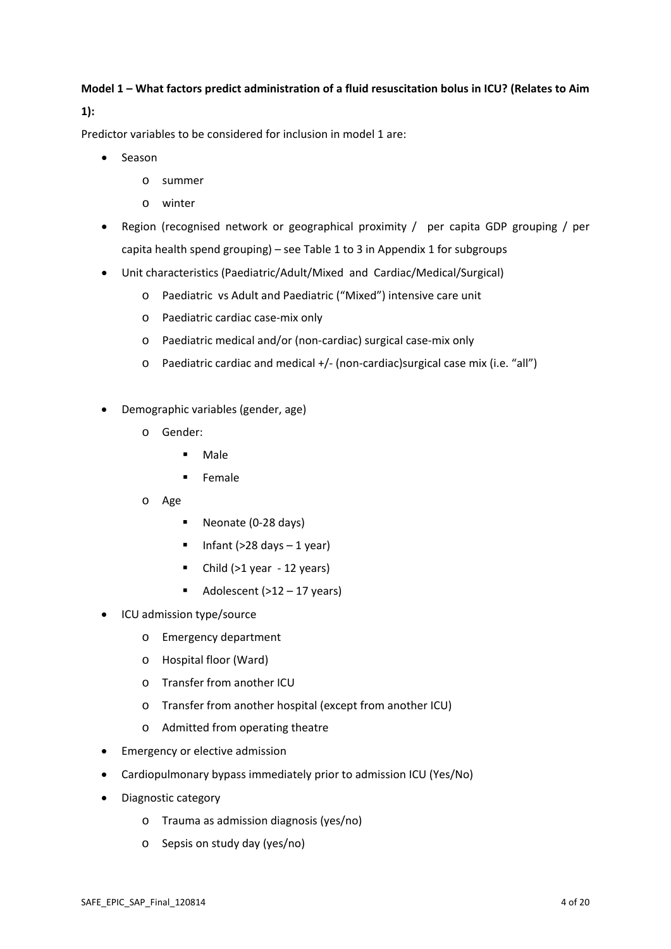### **Model 1 – What factors predict administration of a fluid resuscitation bolus in ICU? (Relates to Aim**

**1):**

Predictor variables to be considered for inclusion in model 1 are:

- Season
	- o summer
	- o winter
- Region (recognised network or geographical proximity / per capita GDP grouping / per capita health spend grouping) – see Table 1 to 3 in Appendix 1 for subgroups
- Unit characteristics (Paediatric/Adult/Mixed and Cardiac/Medical/Surgical)
	- o Paediatric vs Adult and Paediatric ("Mixed") intensive care unit
	- o Paediatric cardiac case-mix only
	- o Paediatric medical and/or (non-cardiac) surgical case-mix only
	- o Paediatric cardiac and medical +/- (non-cardiac)surgical case mix (i.e. "all")
- Demographic variables (gender, age)
	- o Gender:
		- · Male
		- **Female**
	- o Age
		- Neonate (0-28 days)
		- Infant ( $>28$  days  $-1$  year)
		- $\blacksquare$  Child (>1 year 12 years)
		- Adolescent  $(>12 17$  years)
- ICU admission type/source
	- o Emergency department
	- o Hospital floor (Ward)
	- o Transfer from another ICU
	- o Transfer from another hospital (except from another ICU)
	- o Admitted from operating theatre
- Emergency or elective admission
- Cardiopulmonary bypass immediately prior to admission ICU (Yes/No)
- Diagnostic category
	- o Trauma as admission diagnosis (yes/no)
	- o Sepsis on study day (yes/no)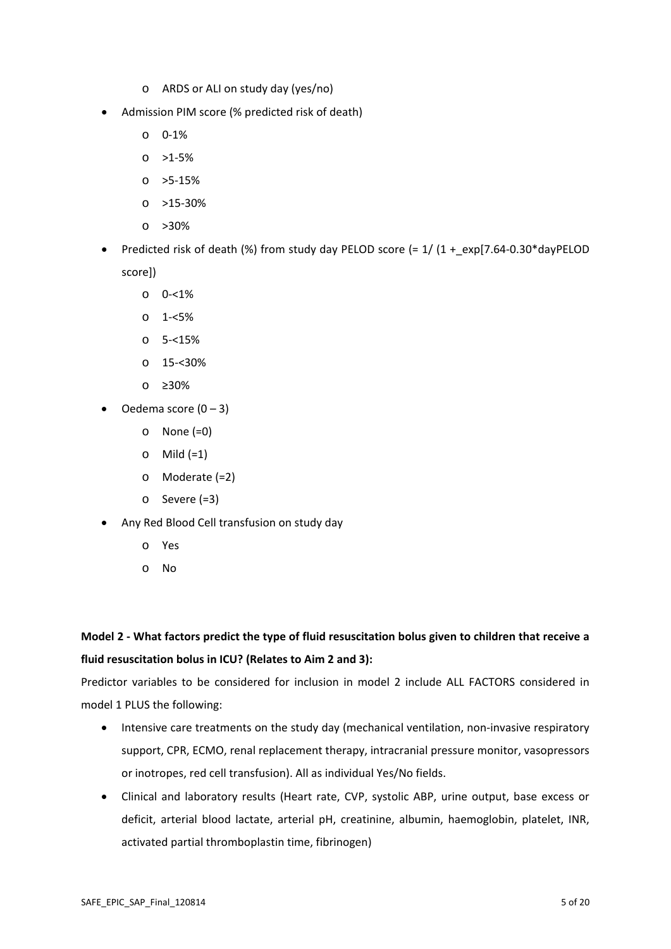- o ARDS or ALI on study day (yes/no)
- Admission PIM score (% predicted risk of death)
	- o 0-1%
	- $0 \times 1 5\%$
	- o >5-15%
	- o >15-30%
	- $\circ$  >30%
- Predicted risk of death (%) from study day PELOD score (=  $1/(1 + \exp[7.64 0.30* \text{dayPELOD}$ score])
	- $0 1\%$
	- $0.1 5%$
	- o 5-<15%
	- o 15-<30%
	- o ≥30%
- Oedema score (0 3)
	- o None (=0)
	- $\circ$  Mild (=1)
	- o Moderate (=2)
	- o Severe (=3)
- Any Red Blood Cell transfusion on study day
	- o Yes
	- o No

# **Model 2 - What factors predict the type of fluid resuscitation bolus given to children that receive a fluid resuscitation bolus in ICU? (Relates to Aim 2 and 3):**

Predictor variables to be considered for inclusion in model 2 include ALL FACTORS considered in model 1 PLUS the following:

- Intensive care treatments on the study day (mechanical ventilation, non-invasive respiratory support, CPR, ECMO, renal replacement therapy, intracranial pressure monitor, vasopressors or inotropes, red cell transfusion). All as individual Yes/No fields.
- Clinical and laboratory results (Heart rate, CVP, systolic ABP, urine output, base excess or deficit, arterial blood lactate, arterial pH, creatinine, albumin, haemoglobin, platelet, INR, activated partial thromboplastin time, fibrinogen)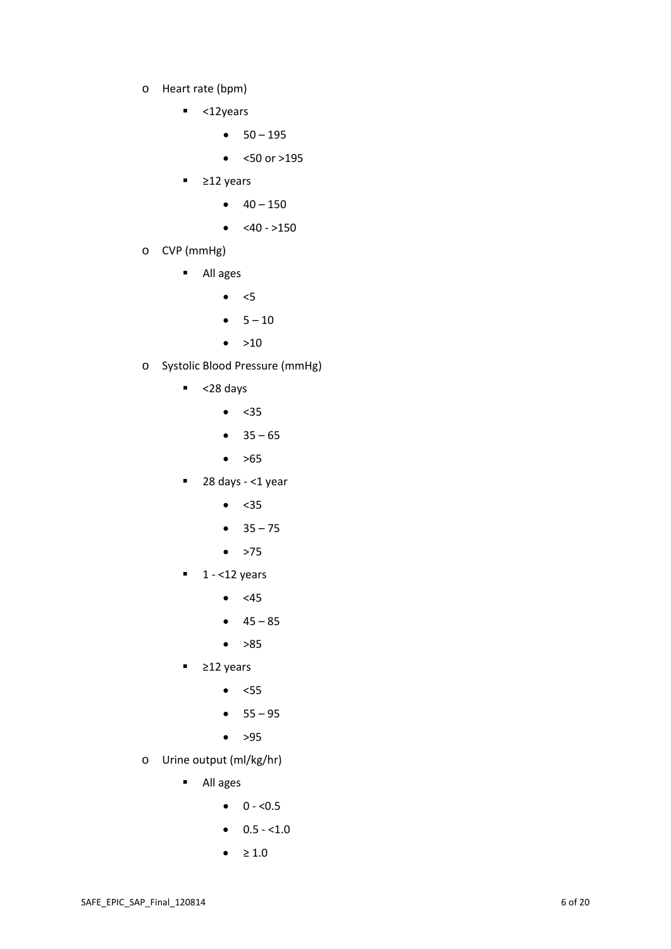- o Heart rate (bpm)
	- **u** <12years
		- $50 195$
		- $<$  50 or  $>$ 195
	- ≥12 years
		- $40 150$
		- $<$ 40 >150
- o CVP (mmHg)
	- All ages
		- $\bullet \quad$  <5
		- $5 10$
		- $\bullet$  >10
- o Systolic Blood Pressure (mmHg)
	- $\sim$  <28 days
		- $\bullet \quad$  <35
		- $35 65$
		- $\bullet$  >65
	- $\blacksquare$  28 days <1 year
		- $\bullet$  <35
		- $35 75$
		- $\bullet$  >75
	- $-1 12$  years
		- $\bullet$  <45
		- $45 85$
		- $\bullet \quad >85$
	- ≥12 years
		- $\bullet$  <55
		- $55 95$
		- $\bullet$  >95
- o Urine output (ml/kg/hr)
	- All ages
		- $\bullet$  0 <0.5
		- $\bullet$  0.5 <1.0
		- $\bullet$  > 1.0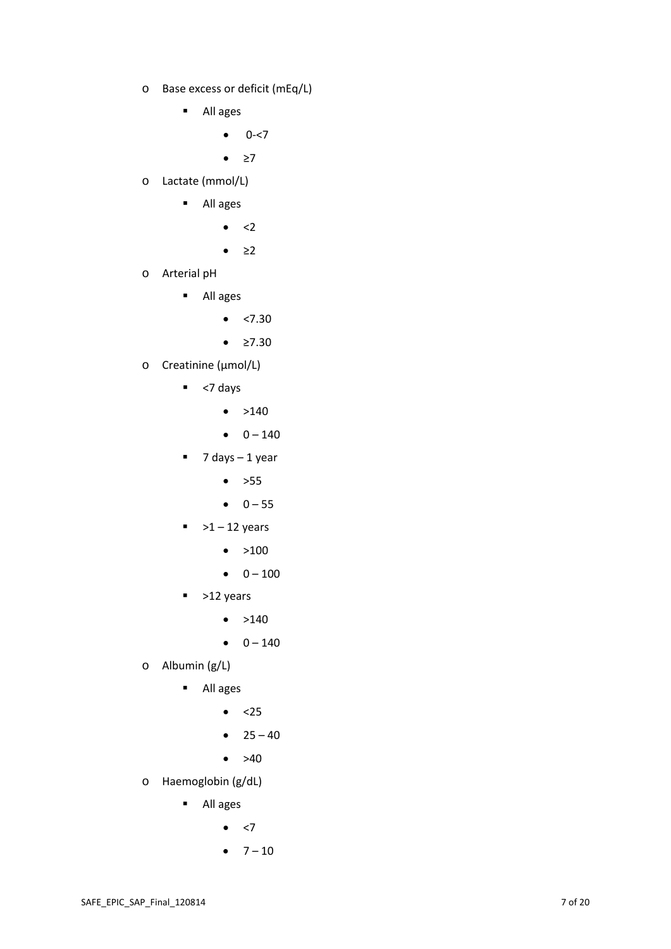- o Base excess or deficit (mEq/L)
	- All ages
		- $0 7$
		- ≥7
- o Lactate (mmol/L)
	- All ages
		- $\bullet \quad < 2$
		- $\bullet$  ≥2
- o Arterial pH
	- All ages
		- $\bullet$  <7.30
		- ≥7.30
- o Creatinine (µmol/L)
	- $\overline{\phantom{a}}$  <7 days
		- $\bullet$  >140
		- $\bullet$  0 140
	- $-7$  days  $-1$  year
		- $\bullet$  >55
		- $0 55$
	- $\bullet$  >1 12 years
		- $\bullet$  >100
		- $\bullet$  0 100
	- $\blacktriangleright$  12 years
		- $\bullet$  >140
		- $0 140$
- o Albumin (g/L)
	- All ages
		- $\bullet$  <25
		- $25 40$
		- $\bullet \quad >40$
- o Haemoglobin (g/dL)
	- All ages
		- $\bullet \quad$  <7
		- $7 10$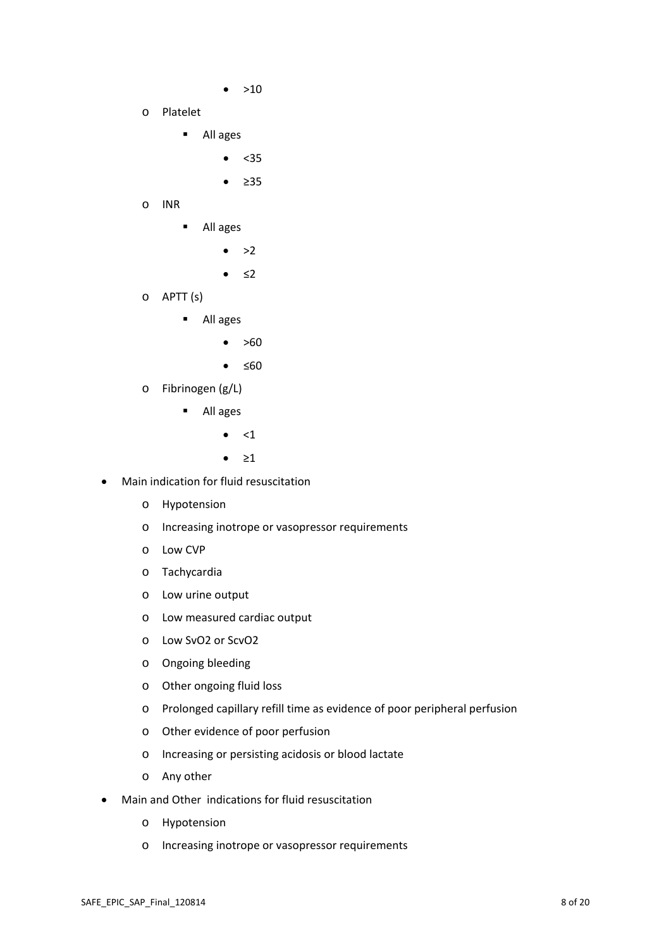- $\bullet$  >10
- o Platelet
	- All ages
		- $\bullet$  <35
		- ≥35
- o INR
	- All ages
		- $\bullet$  >2
		- ≤2
- o APTT (s)
	- All ages
		- $\bullet$  >60
		- ≤60
- o Fibrinogen (g/L)
	- All ages
		- $\bullet$  <1
		- ≥1
- Main indication for fluid resuscitation
	- o Hypotension
	- o Increasing inotrope or vasopressor requirements
	- o Low CVP
	- o Tachycardia
	- o Low urine output
	- o Low measured cardiac output
	- o Low SvO2 or ScvO2
	- o Ongoing bleeding
	- o Other ongoing fluid loss
	- o Prolonged capillary refill time as evidence of poor peripheral perfusion
	- o Other evidence of poor perfusion
	- o Increasing or persisting acidosis or blood lactate
	- o Any other
- Main and Other indications for fluid resuscitation
	- o Hypotension
	- o Increasing inotrope or vasopressor requirements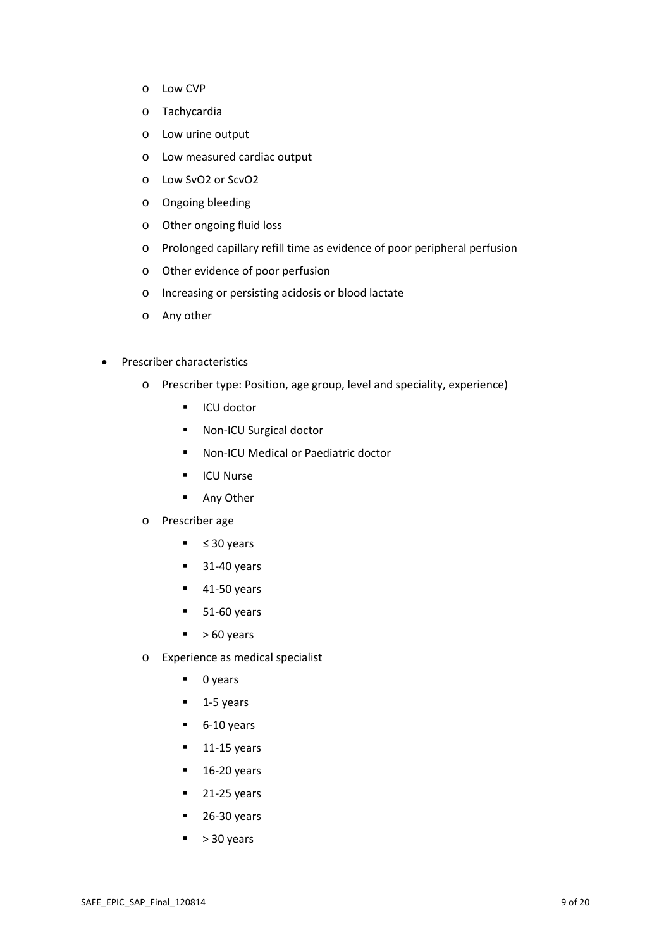- o Low CVP
- o Tachycardia
- o Low urine output
- o Low measured cardiac output
- o Low SvO2 or ScvO2
- o Ongoing bleeding
- o Other ongoing fluid loss
- o Prolonged capillary refill time as evidence of poor peripheral perfusion
- o Other evidence of poor perfusion
- o Increasing or persisting acidosis or blood lactate
- o Any other
- Prescriber characteristics
	- o Prescriber type: Position, age group, level and speciality, experience)
		- **ICU** doctor
		- Non-ICU Surgical doctor
		- Non-ICU Medical or Paediatric doctor
		- **ICU Nurse**
		- **Any Other**
	- o Prescriber age
		- $\blacksquare$   $\leq$  30 years
		- $-31-40$  years
		- $-41-50$  years
		- $-51-60$  years
		- $\blacktriangleright$  50 years
	- o Experience as medical specialist
		- $\blacksquare$  0 years
		- $-1-5$  years
		- $-6-10$  years
		- $-11-15$  years
		- $-16-20$  years
		- $-21-25$  years
		- $-26-30$  years
		- $\sim$  > 30 years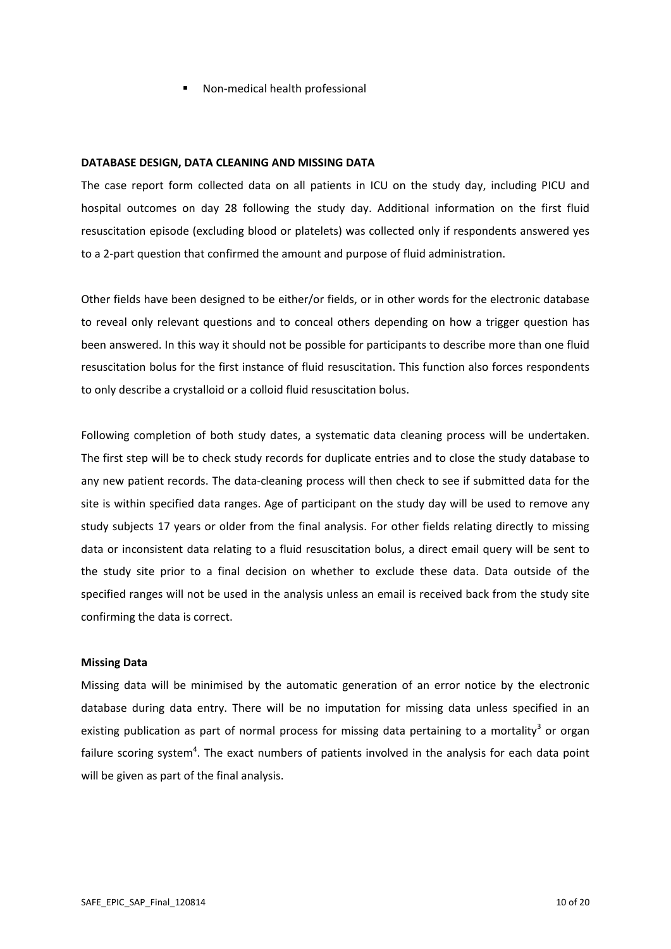Non-medical health professional

#### **DATABASE DESIGN, DATA CLEANING AND MISSING DATA**

The case report form collected data on all patients in ICU on the study day, including PICU and hospital outcomes on day 28 following the study day. Additional information on the first fluid resuscitation episode (excluding blood or platelets) was collected only if respondents answered yes to a 2-part question that confirmed the amount and purpose of fluid administration.

Other fields have been designed to be either/or fields, or in other words for the electronic database to reveal only relevant questions and to conceal others depending on how a trigger question has been answered. In this way it should not be possible for participants to describe more than one fluid resuscitation bolus for the first instance of fluid resuscitation. This function also forces respondents to only describe a crystalloid or a colloid fluid resuscitation bolus.

Following completion of both study dates, a systematic data cleaning process will be undertaken. The first step will be to check study records for duplicate entries and to close the study database to any new patient records. The data-cleaning process will then check to see if submitted data for the site is within specified data ranges. Age of participant on the study day will be used to remove any study subjects 17 years or older from the final analysis. For other fields relating directly to missing data or inconsistent data relating to a fluid resuscitation bolus, a direct email query will be sent to the study site prior to a final decision on whether to exclude these data. Data outside of the specified ranges will not be used in the analysis unless an email is received back from the study site confirming the data is correct.

#### **Missing Data**

Missing data will be minimised by the automatic generation of an error notice by the electronic database during data entry. There will be no imputation for missing data unless specified in an existing publication as part of normal process for missing data pertaining to a mortality<sup>3</sup> or organ failure scoring system<sup>4</sup>. The exact numbers of patients involved in the analysis for each data point will be given as part of the final analysis.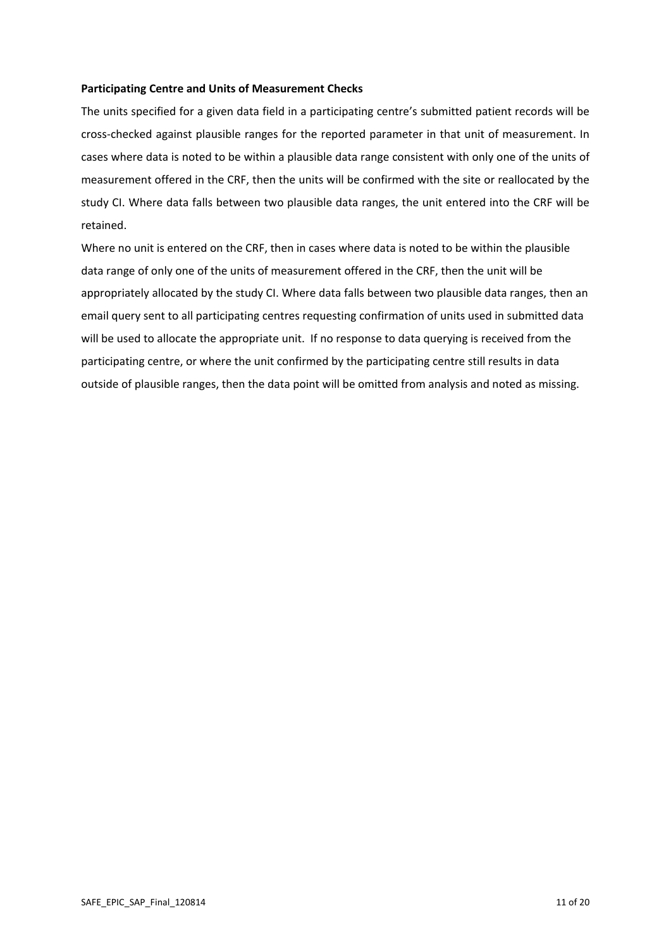#### **Participating Centre and Units of Measurement Checks**

The units specified for a given data field in a participating centre's submitted patient records will be cross-checked against plausible ranges for the reported parameter in that unit of measurement. In cases where data is noted to be within a plausible data range consistent with only one of the units of measurement offered in the CRF, then the units will be confirmed with the site or reallocated by the study CI. Where data falls between two plausible data ranges, the unit entered into the CRF will be retained.

Where no unit is entered on the CRF, then in cases where data is noted to be within the plausible data range of only one of the units of measurement offered in the CRF, then the unit will be appropriately allocated by the study CI. Where data falls between two plausible data ranges, then an email query sent to all participating centres requesting confirmation of units used in submitted data will be used to allocate the appropriate unit. If no response to data querying is received from the participating centre, or where the unit confirmed by the participating centre still results in data outside of plausible ranges, then the data point will be omitted from analysis and noted as missing.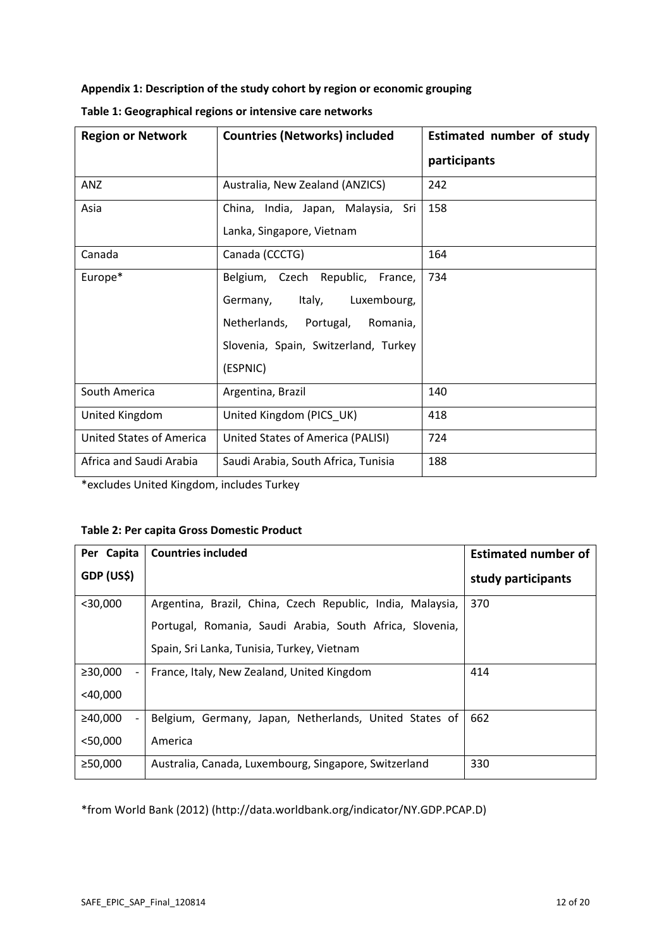### **Appendix 1: Description of the study cohort by region or economic grouping**

| <b>Region or Network</b> | <b>Countries (Networks) included</b> | Estimated number of study |
|--------------------------|--------------------------------------|---------------------------|
|                          |                                      | participants              |
| ANZ                      | Australia, New Zealand (ANZICS)      | 242                       |
| Asia                     | China, India, Japan, Malaysia, Sri   | 158                       |
|                          | Lanka, Singapore, Vietnam            |                           |
| Canada                   | Canada (CCCTG)                       | 164                       |
| Europe*                  | Belgium, Czech Republic, France,     | 734                       |
|                          | Italy,<br>Luxembourg,<br>Germany,    |                           |
|                          | Netherlands, Portugal,<br>Romania,   |                           |
|                          | Slovenia, Spain, Switzerland, Turkey |                           |
|                          | (ESPNIC)                             |                           |
| South America            | Argentina, Brazil                    | 140                       |
| United Kingdom           | United Kingdom (PICS_UK)             | 418                       |
| United States of America | United States of America (PALISI)    | 724                       |
| Africa and Saudi Arabia  | Saudi Arabia, South Africa, Tunisia  | 188                       |

|  |  |  |  |  | Table 1: Geographical regions or intensive care networks |
|--|--|--|--|--|----------------------------------------------------------|
|--|--|--|--|--|----------------------------------------------------------|

\*excludes United Kingdom, includes Turkey

### **Table 2: Per capita Gross Domestic Product**

| Per Capita | <b>Countries included</b>                                  | <b>Estimated number of</b> |
|------------|------------------------------------------------------------|----------------------------|
| GDP (US\$) |                                                            | study participants         |
| $<$ 30,000 | Argentina, Brazil, China, Czech Republic, India, Malaysia, | 370                        |
|            | Portugal, Romania, Saudi Arabia, South Africa, Slovenia,   |                            |
|            | Spain, Sri Lanka, Tunisia, Turkey, Vietnam                 |                            |
| ≥30,000    | France, Italy, New Zealand, United Kingdom                 | 414                        |
| $<$ 40,000 |                                                            |                            |
| ≥40,000    | Belgium, Germany, Japan, Netherlands, United States of     | 662                        |
| $<$ 50,000 | America                                                    |                            |
| ≥50,000    | Australia, Canada, Luxembourg, Singapore, Switzerland      | 330                        |

\*from World Bank (2012) (http://data.worldbank.org/indicator/NY.GDP.PCAP.D)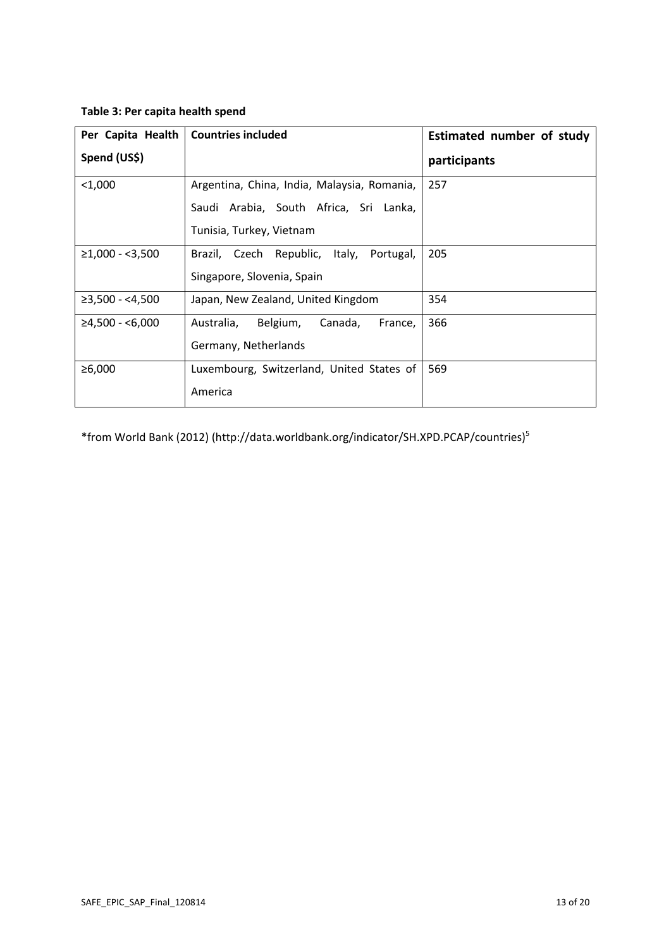| Table 3: Per capita health spend |  |  |  |  |
|----------------------------------|--|--|--|--|
|----------------------------------|--|--|--|--|

| Per Capita Health | <b>Countries included</b>                    | Estimated number of study |
|-------------------|----------------------------------------------|---------------------------|
| Spend (US\$)      |                                              | participants              |
| $<$ 1,000         | Argentina, China, India, Malaysia, Romania,  | 257                       |
|                   | Saudi Arabia, South Africa, Sri Lanka,       |                           |
|                   | Tunisia, Turkey, Vietnam                     |                           |
| $≥1,000 - <3,500$ | Brazil, Czech Republic, Italy,<br>Portugal,  | 205                       |
|                   | Singapore, Slovenia, Spain                   |                           |
| $≥3,500 - <4,500$ | Japan, New Zealand, United Kingdom           | 354                       |
| $≥4,500 - <6,000$ | Canada,<br>Australia,<br>Belgium,<br>France, | 366                       |
|                   | Germany, Netherlands                         |                           |
| ≥6,000            | Luxembourg, Switzerland, United States of    | 569                       |
|                   | America                                      |                           |

\*from World Bank (2012) (http://data.worldbank.org/indicator/SH.XPD.PCAP/countries)<sup>5</sup>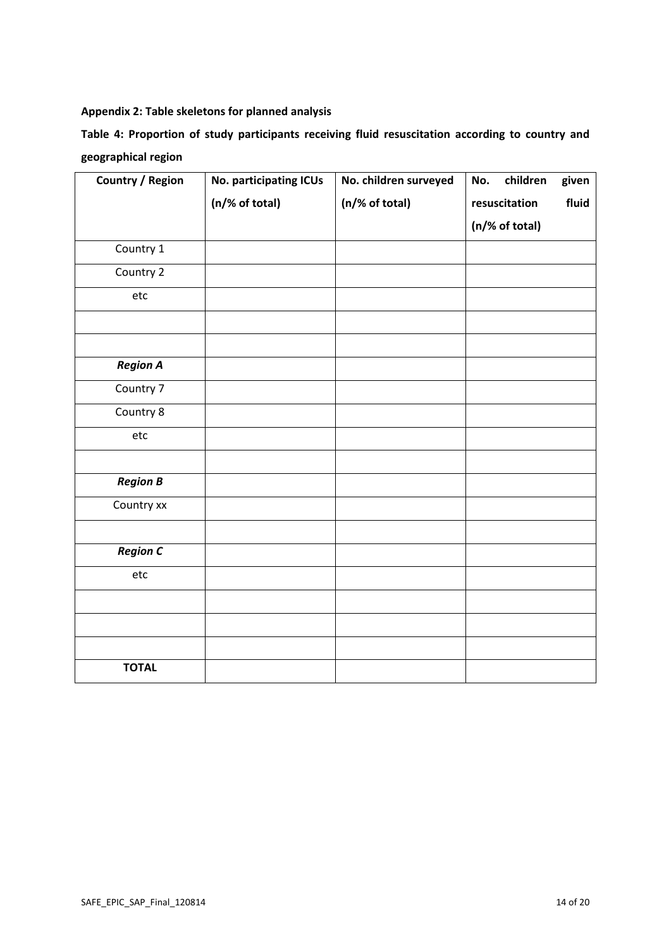### **Appendix 2: Table skeletons for planned analysis**

# **Table 4: Proportion of study participants receiving fluid resuscitation according to country and geographical region**

| <b>Country / Region</b> | <b>No. participating ICUs</b> | No. children surveyed | children<br>given<br>No. |
|-------------------------|-------------------------------|-----------------------|--------------------------|
|                         | (n/% of total)                | (n/% of total)        | fluid<br>resuscitation   |
|                         |                               |                       | (n/% of total)           |
| Country 1               |                               |                       |                          |
| Country 2               |                               |                       |                          |
| etc                     |                               |                       |                          |
|                         |                               |                       |                          |
|                         |                               |                       |                          |
| <b>Region A</b>         |                               |                       |                          |
| Country 7               |                               |                       |                          |
| Country 8               |                               |                       |                          |
| etc                     |                               |                       |                          |
|                         |                               |                       |                          |
| <b>Region B</b>         |                               |                       |                          |
| Country xx              |                               |                       |                          |
|                         |                               |                       |                          |
| <b>Region C</b>         |                               |                       |                          |
| etc                     |                               |                       |                          |
|                         |                               |                       |                          |
|                         |                               |                       |                          |
|                         |                               |                       |                          |
| <b>TOTAL</b>            |                               |                       |                          |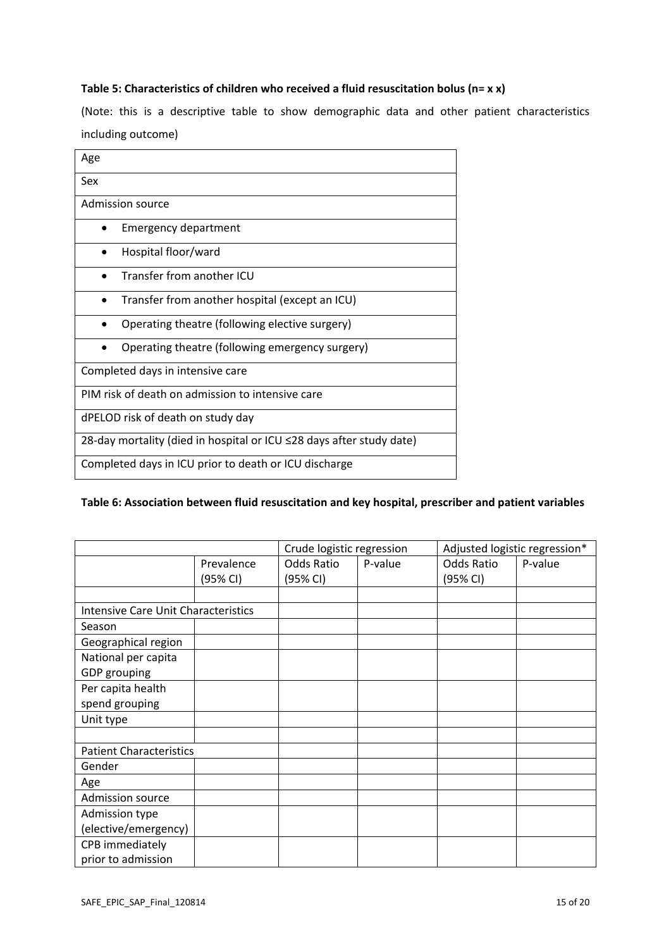### **Table 5: Characteristics of children who received a fluid resuscitation bolus (n= x x)**

(Note: this is a descriptive table to show demographic data and other patient characteristics including outcome)

| Age                                                                  |
|----------------------------------------------------------------------|
| Sex                                                                  |
| <b>Admission source</b>                                              |
| Emergency department                                                 |
| Hospital floor/ward                                                  |
| Transfer from another ICU                                            |
| Transfer from another hospital (except an ICU)<br>$\bullet$          |
| Operating theatre (following elective surgery)                       |
| Operating theatre (following emergency surgery)                      |
| Completed days in intensive care                                     |
| PIM risk of death on admission to intensive care                     |
| dPELOD risk of death on study day                                    |
| 28-day mortality (died in hospital or ICU ≤28 days after study date) |
| Completed days in ICU prior to death or ICU discharge                |

### **Table 6: Association between fluid resuscitation and key hospital, prescriber and patient variables**

|                                            |            | Crude logistic regression |         | Adjusted logistic regression* |         |
|--------------------------------------------|------------|---------------------------|---------|-------------------------------|---------|
|                                            | Prevalence | <b>Odds Ratio</b>         | P-value | Odds Ratio                    | P-value |
|                                            | (95% CI)   | (95% CI)                  |         | (95% CI)                      |         |
|                                            |            |                           |         |                               |         |
| <b>Intensive Care Unit Characteristics</b> |            |                           |         |                               |         |
| Season                                     |            |                           |         |                               |         |
| Geographical region                        |            |                           |         |                               |         |
| National per capita                        |            |                           |         |                               |         |
| GDP grouping                               |            |                           |         |                               |         |
| Per capita health                          |            |                           |         |                               |         |
| spend grouping                             |            |                           |         |                               |         |
| Unit type                                  |            |                           |         |                               |         |
|                                            |            |                           |         |                               |         |
| <b>Patient Characteristics</b>             |            |                           |         |                               |         |
| Gender                                     |            |                           |         |                               |         |
| Age                                        |            |                           |         |                               |         |
| <b>Admission source</b>                    |            |                           |         |                               |         |
| Admission type                             |            |                           |         |                               |         |
| (elective/emergency)                       |            |                           |         |                               |         |
| CPB immediately                            |            |                           |         |                               |         |
| prior to admission                         |            |                           |         |                               |         |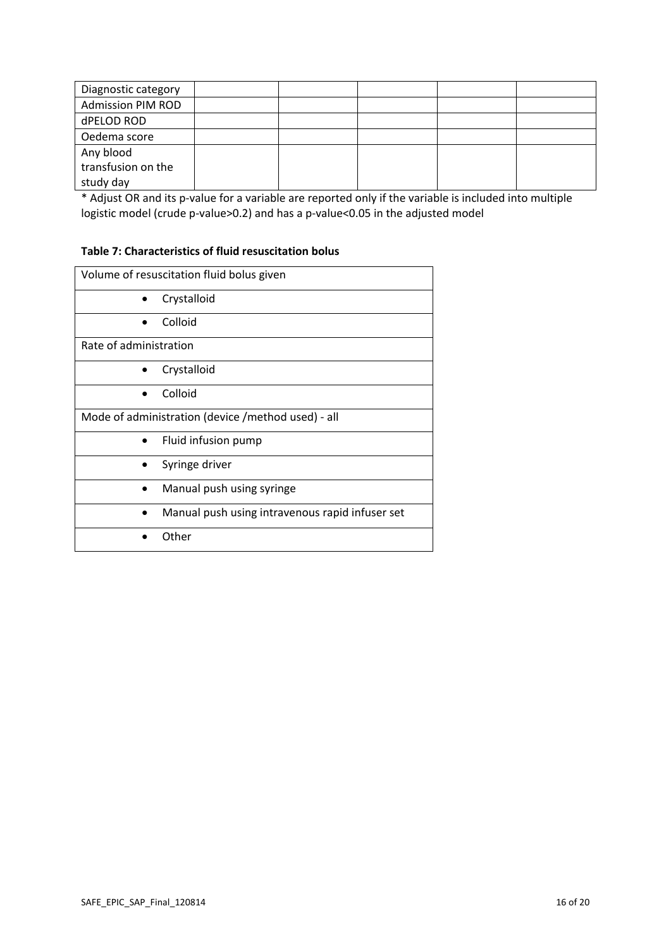| Diagnostic category      |  |  |  |
|--------------------------|--|--|--|
| <b>Admission PIM ROD</b> |  |  |  |
| dPELOD ROD               |  |  |  |
| Oedema score             |  |  |  |
| Any blood                |  |  |  |
| transfusion on the       |  |  |  |
| study day                |  |  |  |

\* Adjust OR and its p-value for a variable are reported only if the variable is included into multiple logistic model (crude p-value>0.2) and has a p-value<0.05 in the adjusted model

### **Table 7: Characteristics of fluid resuscitation bolus**

| Volume of resuscitation fluid bolus given          |  |  |  |  |  |  |
|----------------------------------------------------|--|--|--|--|--|--|
| Crystalloid                                        |  |  |  |  |  |  |
| Colloid                                            |  |  |  |  |  |  |
| Rate of administration                             |  |  |  |  |  |  |
| Crystalloid                                        |  |  |  |  |  |  |
| Colloid                                            |  |  |  |  |  |  |
| Mode of administration (device /method used) - all |  |  |  |  |  |  |
| Fluid infusion pump<br>٠                           |  |  |  |  |  |  |
| Syringe driver                                     |  |  |  |  |  |  |
| Manual push using syringe                          |  |  |  |  |  |  |
| Manual push using intravenous rapid infuser set    |  |  |  |  |  |  |
| Other                                              |  |  |  |  |  |  |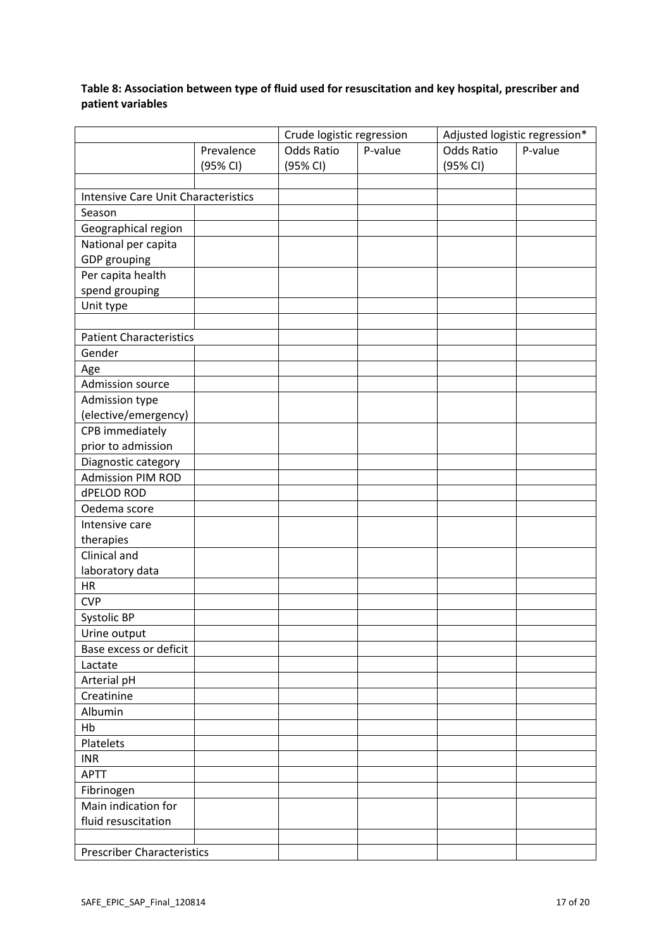### **Table 8: Association between type of fluid used for resuscitation and key hospital, prescriber and patient variables**

|                                            |            | Crude logistic regression |         | Adjusted logistic regression* |         |
|--------------------------------------------|------------|---------------------------|---------|-------------------------------|---------|
|                                            | Prevalence | <b>Odds Ratio</b>         | P-value | Odds Ratio                    | P-value |
|                                            | (95% CI)   | (95% CI)                  |         | (95% CI)                      |         |
|                                            |            |                           |         |                               |         |
| <b>Intensive Care Unit Characteristics</b> |            |                           |         |                               |         |
| Season                                     |            |                           |         |                               |         |
| Geographical region                        |            |                           |         |                               |         |
| National per capita                        |            |                           |         |                               |         |
| <b>GDP</b> grouping                        |            |                           |         |                               |         |
| Per capita health                          |            |                           |         |                               |         |
| spend grouping                             |            |                           |         |                               |         |
| Unit type                                  |            |                           |         |                               |         |
|                                            |            |                           |         |                               |         |
| <b>Patient Characteristics</b>             |            |                           |         |                               |         |
| Gender                                     |            |                           |         |                               |         |
| Age                                        |            |                           |         |                               |         |
| Admission source                           |            |                           |         |                               |         |
| Admission type                             |            |                           |         |                               |         |
| (elective/emergency)                       |            |                           |         |                               |         |
| CPB immediately                            |            |                           |         |                               |         |
| prior to admission                         |            |                           |         |                               |         |
| Diagnostic category                        |            |                           |         |                               |         |
| <b>Admission PIM ROD</b>                   |            |                           |         |                               |         |
| dPELOD ROD                                 |            |                           |         |                               |         |
| Oedema score                               |            |                           |         |                               |         |
| Intensive care                             |            |                           |         |                               |         |
| therapies                                  |            |                           |         |                               |         |
| Clinical and                               |            |                           |         |                               |         |
| laboratory data                            |            |                           |         |                               |         |
| HR                                         |            |                           |         |                               |         |
| <b>CVP</b>                                 |            |                           |         |                               |         |
| Systolic BP                                |            |                           |         |                               |         |
| Urine output                               |            |                           |         |                               |         |
| Base excess or deficit                     |            |                           |         |                               |         |
| Lactate                                    |            |                           |         |                               |         |
| Arterial pH                                |            |                           |         |                               |         |
| Creatinine                                 |            |                           |         |                               |         |
| Albumin                                    |            |                           |         |                               |         |
| Hb                                         |            |                           |         |                               |         |
| Platelets                                  |            |                           |         |                               |         |
| <b>INR</b>                                 |            |                           |         |                               |         |
| <b>APTT</b>                                |            |                           |         |                               |         |
| Fibrinogen                                 |            |                           |         |                               |         |
| Main indication for                        |            |                           |         |                               |         |
| fluid resuscitation                        |            |                           |         |                               |         |
|                                            |            |                           |         |                               |         |
| <b>Prescriber Characteristics</b>          |            |                           |         |                               |         |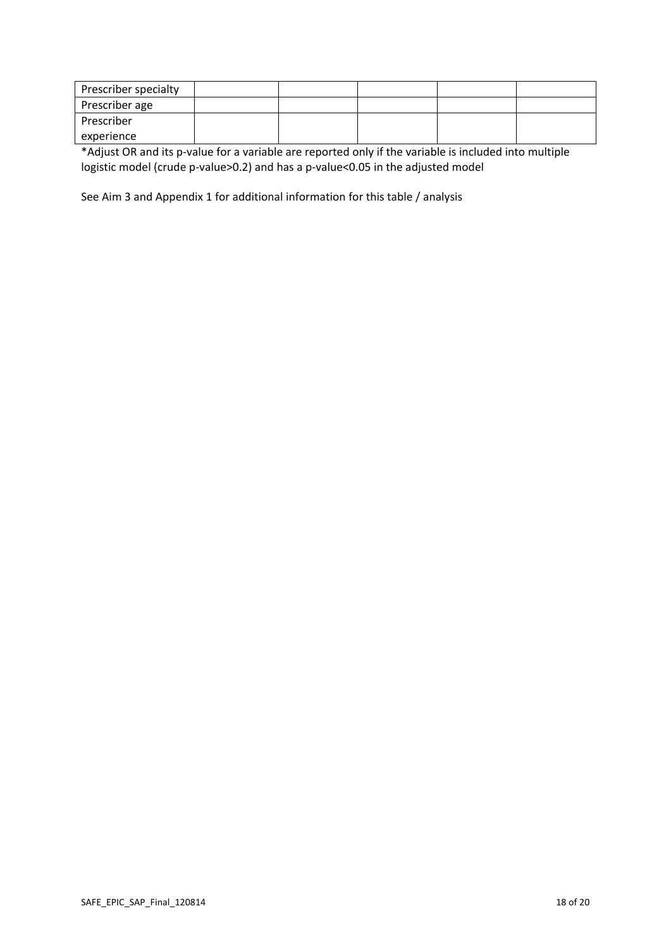| Prescriber specialty |  |  |  |
|----------------------|--|--|--|
| Prescriber age       |  |  |  |
| Prescriber           |  |  |  |
| experience           |  |  |  |

\*Adjust OR and its p-value for a variable are reported only if the variable is included into multiple logistic model (crude p-value>0.2) and has a p-value<0.05 in the adjusted model

See Aim 3 and Appendix 1 for additional information for this table / analysis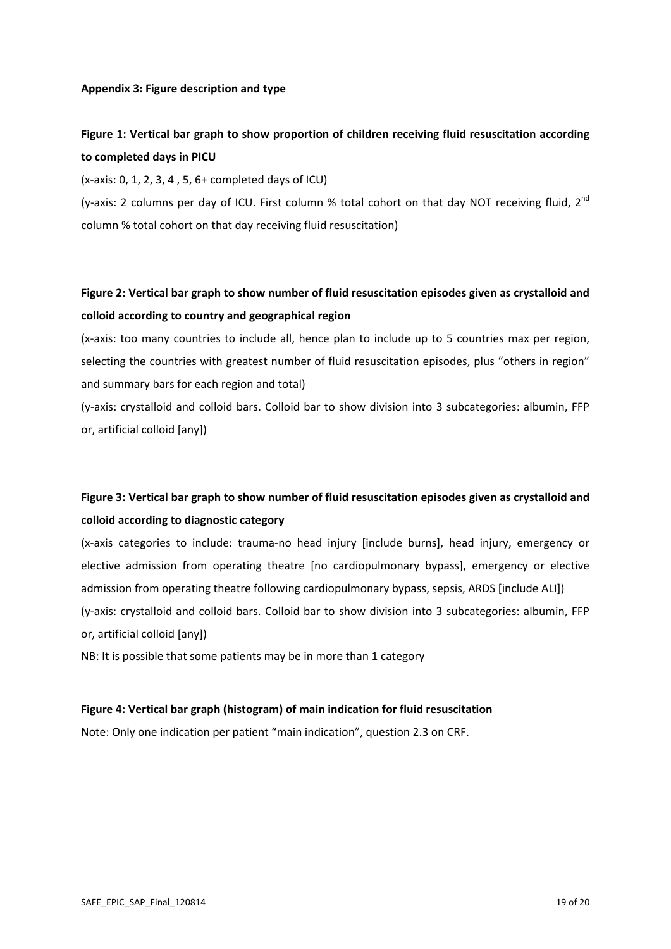#### **Appendix 3: Figure description and type**

# **Figure 1: Vertical bar graph to show proportion of children receiving fluid resuscitation according to completed days in PICU**

(x-axis: 0, 1, 2, 3, 4 , 5, 6+ completed days of ICU)

(y-axis: 2 columns per day of ICU. First column % total cohort on that day NOT receiving fluid,  $2^{nd}$ column % total cohort on that day receiving fluid resuscitation)

# **Figure 2: Vertical bar graph to show number of fluid resuscitation episodes given as crystalloid and colloid according to country and geographical region**

(x-axis: too many countries to include all, hence plan to include up to 5 countries max per region, selecting the countries with greatest number of fluid resuscitation episodes, plus "others in region" and summary bars for each region and total)

(y-axis: crystalloid and colloid bars. Colloid bar to show division into 3 subcategories: albumin, FFP or, artificial colloid [any])

# **Figure 3: Vertical bar graph to show number of fluid resuscitation episodes given as crystalloid and colloid according to diagnostic category**

(x-axis categories to include: trauma-no head injury [include burns], head injury, emergency or elective admission from operating theatre [no cardiopulmonary bypass], emergency or elective admission from operating theatre following cardiopulmonary bypass, sepsis, ARDS [include ALI]) (y-axis: crystalloid and colloid bars. Colloid bar to show division into 3 subcategories: albumin, FFP or, artificial colloid [any])

NB: It is possible that some patients may be in more than 1 category

#### **Figure 4: Vertical bar graph (histogram) of main indication for fluid resuscitation**

Note: Only one indication per patient "main indication", question 2.3 on CRF.